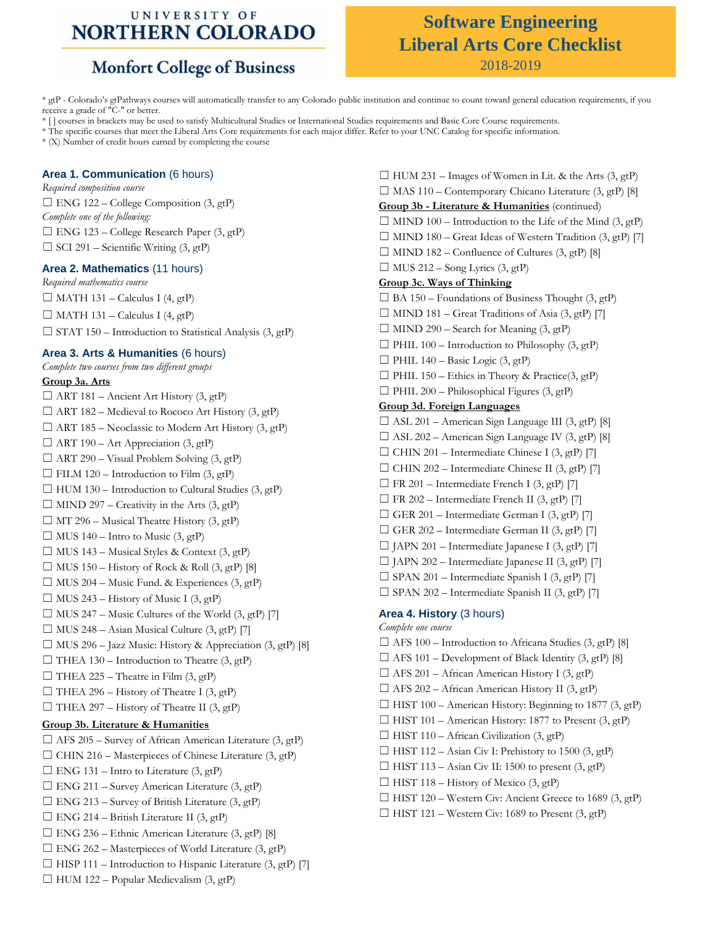### UNIVERSITY OF **NORTHERN COLORADO**

# **Monfort College of Business**

### **Software Engineering Liberal Arts Core Checklist** 2018-2019

\* gtP - Colorado's gtPathways courses will automatically transfer to any Colorado public institution and continue to count toward general education requirements, if you receive a grade of "C-" or better.

\* [ ] courses in brackets may be used to satisfy Multicultural Studies or International Studies requirements and Basic Core Course requirements.

\* The specific courses that meet the Liberal Arts Core requirements for each major differ. Refer to your UNC Catalog for specific information.

\* (X) Number of credit hours earned by completing the course

#### **Area 1. Communication** (6 hours)

*Required composition course*  $\square$  ENG 122 – College Composition (3, gtP) *Complete one of the following:*  $\Box$  ENG 123 – College Research Paper (3, gtP)  $\Box$  SCI 291 – Scientific Writing (3, gtP)

#### **Area 2. Mathematics** (11 hours)

*Required mathematics course*  $\Box$  MATH 131 – Calculus I (4, gtP)  $\Box$  MATH 131 – Calculus I (4, gtP)  $\Box$  STAT 150 – Introduction to Statistical Analysis (3, gtP)

#### **Area 3. Arts & Humanities** (6 hours)

#### *Complete two courses from two different groups*

#### **Group 3a. Arts**

 $\Box$  ART 181 – Ancient Art History (3, gtP)  $\Box$  ART 182 – Medieval to Rococo Art History (3, gtP)  $\Box$  ART 185 – Neoclassic to Modern Art History (3, gtP)  $\Box$  ART 190 – Art Appreciation (3, gtP)  $\Box$  ART 290 – Visual Problem Solving (3, gtP)  $\Box$  FILM 120 – Introduction to Film (3, gtP)  $\Box$  HUM 130 – Introduction to Cultural Studies (3, gtP)  $\Box$  MIND 297 – Creativity in the Arts (3, gtP)  $\Box$  MT 296 – Musical Theatre History (3, gtP)  $\Box$  MUS 140 – Intro to Music (3, gtP)  $\Box$  MUS 143 – Musical Styles & Context (3, gtP)  $\Box$  MUS 150 – History of Rock & Roll (3, gtP) [8]  $\Box$  MUS 204 – Music Fund. & Experiences (3, gtP)  $\Box$  MUS 243 – History of Music I (3, gtP)  $\Box$  MUS 247 – Music Cultures of the World (3, gtP) [7]  $\Box$  MUS 248 – Asian Musical Culture (3, gtP) [7]  $\Box$  MUS 296 – Jazz Music: History & Appreciation (3, gtP) [8]  $\Box$  THEA 130 – Introduction to Theatre (3, gtP)  $\Box$  THEA 225 – Theatre in Film (3, gtP)  $\Box$  THEA 296 – History of Theatre I (3, gtP)  $\Box$  THEA 297 – History of Theatre II (3, gtP) **Group 3b. Literature & Humanities**  $\Box$  AFS 205 – Survey of African American Literature (3, gtP)  $\Box$  CHIN 216 – Masterpieces of Chinese Literature (3, gtP)  $\Box$  ENG 131 – Intro to Literature (3, gtP)  $\Box$  ENG 211 – Survey American Literature (3, gtP)  $\Box$  ENG 213 – Survey of British Literature (3, gtP)  $\Box$  ENG 214 – British Literature II (3, gtP)  $\Box$  ENG 236 – Ethnic American Literature (3, gtP) [8]  $\Box$  ENG 262 – Masterpieces of World Literature (3, gtP)  $\Box$  HISP 111 – Introduction to Hispanic Literature (3, gtP) [7]  $\Box$  HUM 122 – Popular Medievalism (3, gtP)

 $\Box$  HUM 231 – Images of Women in Lit. & the Arts (3, gtP)  $\Box$  MAS 110 – Contemporary Chicano Literature (3, gtP) [8] **Group 3b - Literature & Humanities** (continued)  $\Box$  MIND 100 – Introduction to the Life of the Mind (3, gtP)  $\Box$  MIND 180 – Great Ideas of Western Tradition (3, gtP) [7]  $\Box$  MIND 182 – Confluence of Cultures (3, gtP) [8]  $\Box$  MUS 212 – Song Lyrics (3, gtP) **Group 3c. Ways of Thinking**  $\Box$  BA 150 – Foundations of Business Thought (3, gtP)  $\Box$  MIND 181 – Great Traditions of Asia (3, gtP) [7]  $\Box$  MIND 290 – Search for Meaning (3, gtP)  $\Box$  PHIL 100 – Introduction to Philosophy (3, gtP)  $\Box$  PHIL 140 – Basic Logic (3, gtP)  $\Box$  PHIL 150 – Ethics in Theory & Practice(3, gtP)  $\Box$  PHIL 200 – Philosophical Figures (3, gtP) **Group 3d. Foreign Languages**  $\Box$  ASL 201 – American Sign Language III (3, gtP) [8]  $\Box$  ASL 202 – American Sign Language IV (3, gtP) [8]  $\Box$  CHIN 201 – Intermediate Chinese I (3, gtP) [7]  $\Box$  CHIN 202 – Intermediate Chinese II (3, gtP) [7]  $\Box$  FR 201 – Intermediate French I (3, gtP) [7]  $\Box$  FR 202 – Intermediate French II (3, gtP) [7]  $\Box$  GER 201 – Intermediate German I (3, gtP) [7]  $\Box$  GER 202 – Intermediate German II (3, gtP) [7] ☐ JAPN 201 – Intermediate Japanese I (3, gtP) [7]  $\Box$  JAPN 202 – Intermediate Japanese II (3, gtP) [7]  $\square$  SPAN 201 – Intermediate Spanish I (3, gtP) [7]  $\square$  SPAN 202 – Intermediate Spanish II (3, gtP) [7] **Area 4. History** (3 hours) *Complete one course* ☐ AFS 100 – Introduction to Africana Studies (3, gtP) [8]  $\Box$  AFS 101 – Development of Black Identity (3, gtP) [8]  $\Box$  AFS 201 – African American History I (3, gtP) ☐ AFS 202 – African American History II (3, gtP)  $\Box$  HIST 100 – American History: Beginning to 1877 (3, gtP)  $\Box$  HIST 101 – American History: 1877 to Present (3, gtP)  $\Box$  HIST 110 – African Civilization (3, gtP)  $\Box$  HIST 112 – Asian Civ I: Prehistory to 1500 (3, gtP)  $\Box$  HIST 113 – Asian Civ II: 1500 to present (3, gtP)  $\Box$  HIST 118 – History of Mexico (3, gtP)  $\Box$  HIST 120 – Western Civ: Ancient Greece to 1689 (3, gtP)

 $\Box$  HIST 121 – Western Civ: 1689 to Present (3, gtP)